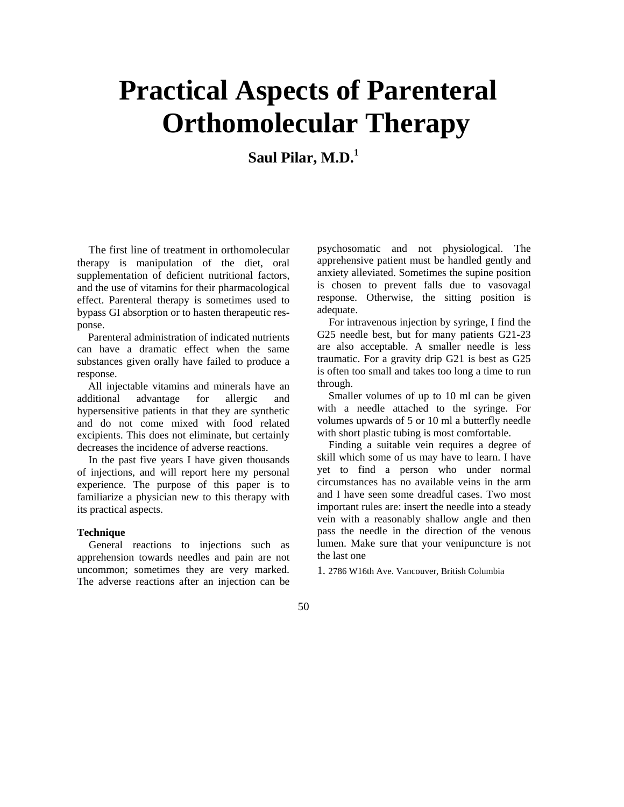# **Practical Aspects of Parenteral Orthomolecular Therapy**

Saul Pilar, M.D.<sup>1</sup>

The first line of treatment in orthomolecular therapy is manipulation of the diet, oral supplementation of deficient nutritional factors, and the use of vitamins for their pharmacological effect. Parenteral therapy is sometimes used to bypass GI absorption or to hasten therapeutic response.

Parenteral administration of indicated nutrients can have a dramatic effect when the same substances given orally have failed to produce a response.

All injectable vitamins and minerals have an additional advantage for allergic and hypersensitive patients in that they are synthetic and do not come mixed with food related excipients. This does not eliminate, but certainly decreases the incidence of adverse reactions.

In the past five years I have given thousands of injections, and will report here my personal experience. The purpose of this paper is to familiarize a physician new to this therapy with its practical aspects.

#### **Technique**

General reactions to injections such as apprehension towards needles and pain are not uncommon; sometimes they are very marked. The adverse reactions after an injection can be

psychosomatic and not physiological. The apprehensive patient must be handled gently and anxiety alleviated. Sometimes the supine position is chosen to prevent falls due to vasovagal response. Otherwise, the sitting position is adequate.

For intravenous injection by syringe, I find the G25 needle best, but for many patients G21-23 are also acceptable. A smaller needle is less traumatic. For a gravity drip G21 is best as G25 is often too small and takes too long a time to run through.

Smaller volumes of up to 10 ml can be given with a needle attached to the syringe. For volumes upwards of 5 or 10 ml a butterfly needle with short plastic tubing is most comfortable.

Finding a suitable vein requires a degree of skill which some of us may have to learn. I have yet to find a person who under normal circumstances has no available veins in the arm and I have seen some dreadful cases. Two most important rules are: insert the needle into a steady vein with a reasonably shallow angle and then pass the needle in the direction of the venous lumen. Make sure that your venipuncture is not the last one

1. 2786 W16th Ave. Vancouver, British Columbia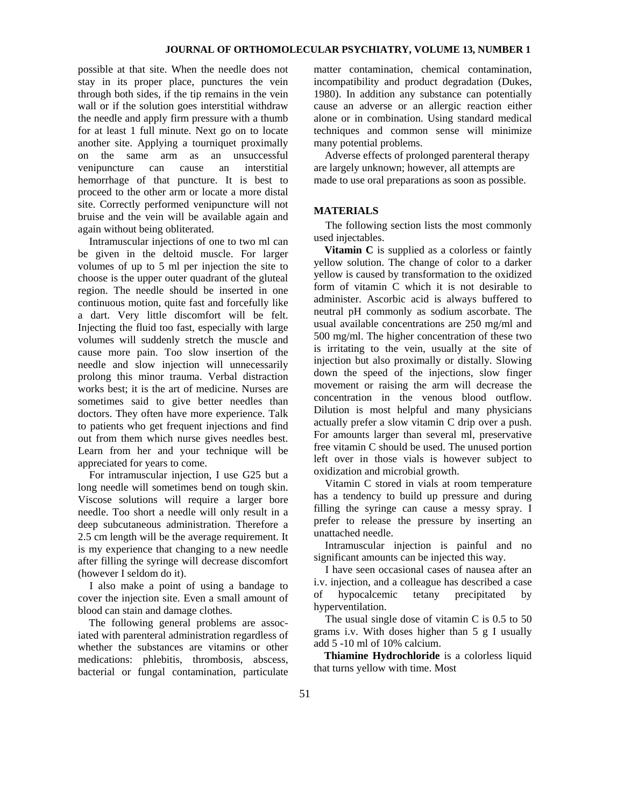possible at that site. When the needle does not stay in its proper place, punctures the vein through both sides, if the tip remains in the vein wall or if the solution goes interstitial withdraw the needle and apply firm pressure with a thumb for at least 1 full minute. Next go on to locate another site. Applying a tourniquet proximally on the same arm as an unsuccessful venipuncture can cause an interstitial hemorrhage of that puncture. It is best to proceed to the other arm or locate a more distal site. Correctly performed venipuncture will not bruise and the vein will be available again and again without being obliterated.

Intramuscular injections of one to two ml can be given in the deltoid muscle. For larger volumes of up to 5 ml per injection the site to choose is the upper outer quadrant of the gluteal region. The needle should be inserted in one continuous motion, quite fast and forcefully like a dart. Very little discomfort will be felt. Injecting the fluid too fast, especially with large volumes will suddenly stretch the muscle and cause more pain. Too slow insertion of the needle and slow injection will unnecessarily prolong this minor trauma. Verbal distraction works best; it is the art of medicine. Nurses are sometimes said to give better needles than doctors. They often have more experience. Talk to patients who get frequent injections and find out from them which nurse gives needles best. Learn from her and your technique will be appreciated for years to come.

For intramuscular injection, I use G25 but a long needle will sometimes bend on tough skin. Viscose solutions will require a larger bore needle. Too short a needle will only result in a deep subcutaneous administration. Therefore a 2.5 cm length will be the average requirement. It is my experience that changing to a new needle after filling the syringe will decrease discomfort (however I seldom do it).

I also make a point of using a bandage to cover the injection site. Even a small amount of blood can stain and damage clothes.

The following general problems are associated with parenteral administration regardless of whether the substances are vitamins or other medications: phlebitis, thrombosis, abscess, bacterial or fungal contamination, particulate

matter contamination, chemical contamination, incompatibility and product degradation (Dukes, 1980). In addition any substance can potentially cause an adverse or an allergic reaction either alone or in combination. Using standard medical techniques and common sense will minimize many potential problems.

Adverse effects of prolonged parenteral therapy are largely unknown; however, all attempts are made to use oral preparations as soon as possible.

### **MATERIALS**

The following section lists the most commonly used injectables.

**Vitamin C** is supplied as a colorless or faintly yellow solution. The change of color to a darker yellow is caused by transformation to the oxidized form of vitamin C which it is not desirable to administer. Ascorbic acid is always buffered to neutral pH commonly as sodium ascorbate. The usual available concentrations are 250 mg/ml and 500 mg/ml. The higher concentration of these two is irritating to the vein, usually at the site of injection but also proximally or distally. Slowing down the speed of the injections, slow finger movement or raising the arm will decrease the concentration in the venous blood outflow. Dilution is most helpful and many physicians actually prefer a slow vitamin C drip over a push. For amounts larger than several ml, preservative free vitamin C should be used. The unused portion left over in those vials is however subject to oxidization and microbial growth.

Vitamin C stored in vials at room temperature has a tendency to build up pressure and during filling the syringe can cause a messy spray. I prefer to release the pressure by inserting an unattached needle.

Intramuscular injection is painful and no significant amounts can be injected this way.

I have seen occasional cases of nausea after an i.v. injection, and a colleague has described a case of hypocalcemic tetany precipitated hyperventilation.

The usual single dose of vitamin C is 0.5 to 50 grams i.v. With doses higher than 5 g I usually add 5 -10 ml of 10% calcium.

**Thiamine Hydrochloride** is a colorless liquid that turns yellow with time. Most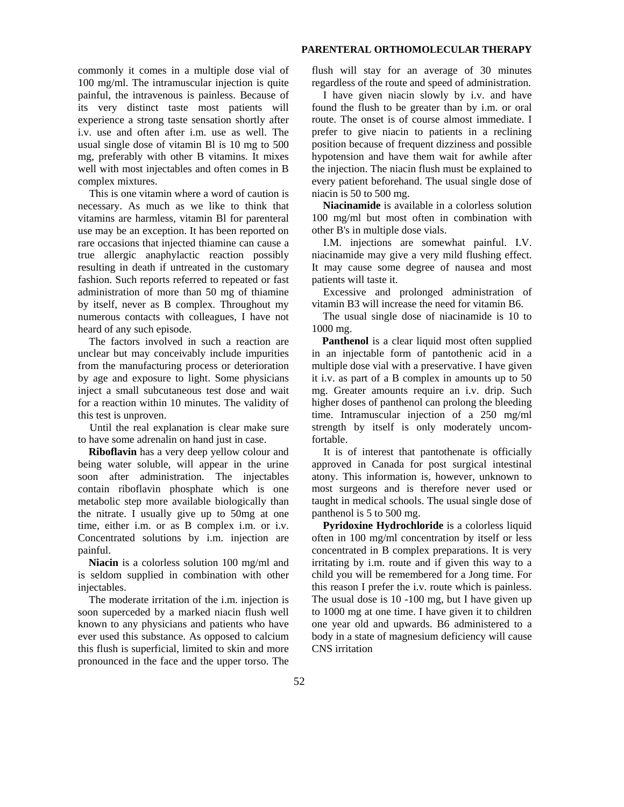#### **PARENTERAL ORTHOMOLECULAR THERAPY**

commonly it comes in a multiple dose vial of 100 mg/ml. The intramuscular injection is quite painful, the intravenous is painless. Because of its very distinct taste most patients will experience a strong taste sensation shortly after i.v. use and often after i.m. use as well. The usual single dose of vitamin Bl is 10 mg to 500 mg, preferably with other B vitamins. It mixes well with most injectables and often comes in B complex mixtures.

This is one vitamin where a word of caution is necessary. As much as we like to think that vitamins are harmless, vitamin Bl for parenteral use may be an exception. It has been reported on rare occasions that injected thiamine can cause a true allergic anaphylactic reaction possibly resulting in death if untreated in the customary fashion. Such reports referred to repeated or fast administration of more than 50 mg of thiamine by itself, never as B complex. Throughout my numerous contacts with colleagues, I have not heard of any such episode.

The factors involved in such a reaction are unclear but may conceivably include impurities from the manufacturing process or deterioration by age and exposure to light. Some physicians inject a small subcutaneous test dose and wait for a reaction within 10 minutes. The validity of this test is unproven.

Until the real explanation is clear make sure to have some adrenalin on hand just in case.

**Riboflavin** has a very deep yellow colour and being water soluble, will appear in the urine soon after administration. The injectables contain riboflavin phosphate which is one metabolic step more available biologically than the nitrate. I usually give up to 50mg at one time, either i.m. or as B complex i.m. or i.v. Concentrated solutions by i.m. injection are painful.

**Niacin** is a colorless solution 100 mg/ml and is seldom supplied in combination with other injectables.

The moderate irritation of the i.m. injection is soon superceded by a marked niacin flush well known to any physicians and patients who have ever used this substance. As opposed to calcium this flush is superficial, limited to skin and more pronounced in the face and the upper torso. The

flush will stay for an average of 30 minutes regardless of the route and speed of administration.

I have given niacin slowly by i.v. and have found the flush to be greater than by i.m. or oral route. The onset is of course almost immediate. I prefer to give niacin to patients in a reclining position because of frequent dizziness and possible hypotension and have them wait for awhile after the injection. The niacin flush must be explained to every patient beforehand. The usual single dose of niacin is 50 to 500 mg.

**Niacinamide** is available in a colorless solution 100 mg/ml but most often in combination with other B's in multiple dose vials.

I.M. injections are somewhat painful. I.V. niacinamide may give a very mild flushing effect. It may cause some degree of nausea and most patients will taste it.

Excessive and prolonged administration of vitamin B3 will increase the need for vitamin B6.

The usual single dose of niacinamide is 10 to 1000 mg.

**Panthenol** is a clear liquid most often supplied in an injectable form of pantothenic acid in a multiple dose vial with a preservative. I have given it i.v. as part of a B complex in amounts up to 50 mg. Greater amounts require an i.v. drip. Such higher doses of panthenol can prolong the bleeding time. Intramuscular injection of a 250 mg/ml strength by itself is only moderately uncomfortable.

It is of interest that pantothenate is officially approved in Canada for post surgical intestinal atony. This information is, however, unknown to most surgeons and is therefore never used or taught in medical schools. The usual single dose of panthenol is 5 to 500 mg.

Pyridoxine Hydrochloride is a colorless liquid often in 100 mg/ml concentration by itself or less concentrated in B complex preparations. It is very irritating by i.m. route and if given this way to a child you will be remembered for a Jong time. For this reason I prefer the i.v. route which is painless. The usual dose is 10 -100 mg, but I have given up to 1000 mg at one time. I have given it to children one year old and upwards. B6 administered to a body in a state of magnesium deficiency will cause CNS irritation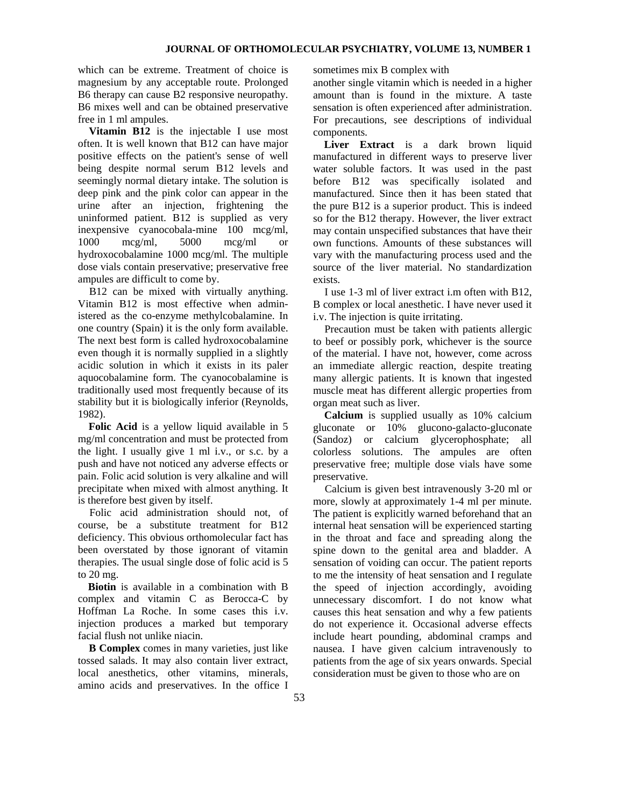which can be extreme. Treatment of choice is magnesium by any acceptable route. Prolonged B6 therapy can cause B2 responsive neuropathy. B6 mixes well and can be obtained preservative free in 1 ml ampules.

**Vitamin B12** is the injectable I use most often. It is well known that B12 can have major positive effects on the patient's sense of well being despite normal serum B12 levels and seemingly normal dietary intake. The solution is deep pink and the pink color can appear in the urine after an injection, frightening the uninformed patient. B12 is supplied as very inexpensive cyanocobala-mine 100 mcg/ml, 1000 mcg/ml, 5000 mcg/ml or hydroxocobalamine 1000 mcg/ml. The multiple dose vials contain preservative; preservative free ampules are difficult to come by.

B12 can be mixed with virtually anything. Vitamin B12 is most effective when administered as the co-enzyme methylcobalamine. In one country (Spain) it is the only form available. The next best form is called hydroxocobalamine even though it is normally supplied in a slightly acidic solution in which it exists in its paler aquocobalamine form. The cyanocobalamine is traditionally used most frequently because of its stability but it is biologically inferior (Reynolds, 1982).

**Folic Acid** is a yellow liquid available in 5 mg/ml concentration and must be protected from the light. I usually give 1 ml i.v., or s.c. by a push and have not noticed any adverse effects or pain. Folic acid solution is very alkaline and will precipitate when mixed with almost anything. It is therefore best given by itself.

Folic acid administration should not, of course, be a substitute treatment for B12 deficiency. This obvious orthomolecular fact has been overstated by those ignorant of vitamin therapies. The usual single dose of folic acid is 5 to 20 mg.

**Biotin** is available in a combination with B complex and vitamin C as Berocca-C by Hoffman La Roche. In some cases this i.v. injection produces a marked but temporary facial flush not unlike niacin.

**B Complex** comes in many varieties, just like tossed salads. It may also contain liver extract, local anesthetics, other vitamins, minerals, amino acids and preservatives. In the office I

sometimes mix B complex with

another single vitamin which is needed in a higher amount than is found in the mixture. A taste sensation is often experienced after administration. For precautions, see descriptions of individual components.

Liver Extract is a dark brown liquid manufactured in different ways to preserve liver water soluble factors. It was used in the past before B12 was specifically isolated and manufactured. Since then it has been stated that the pure B12 is a superior product. This is indeed so for the B12 therapy. However, the liver extract may contain unspecified substances that have their own functions. Amounts of these substances will vary with the manufacturing process used and the source of the liver material. No standardization exists.

I use 1-3 ml of liver extract i.m often with B12, B complex or local anesthetic. I have never used it i.v. The injection is quite irritating.

Precaution must be taken with patients allergic to beef or possibly pork, whichever is the source of the material. I have not, however, come across an immediate allergic reaction, despite treating many allergic patients. It is known that ingested muscle meat has different allergic properties from organ meat such as liver.

**Calcium** is supplied usually as 10% calcium gluconate or 10% glucono-galacto-gluconate (Sandoz) or calcium glycerophosphate; all colorless solutions. The ampules are often preservative free; multiple dose vials have some preservative.

Calcium is given best intravenously 3-20 ml or more, slowly at approximately 1-4 ml per minute. The patient is explicitly warned beforehand that an internal heat sensation will be experienced starting in the throat and face and spreading along the spine down to the genital area and bladder. A sensation of voiding can occur. The patient reports to me the intensity of heat sensation and I regulate the speed of injection accordingly, avoiding unnecessary discomfort. I do not know what causes this heat sensation and why a few patients do not experience it. Occasional adverse effects include heart pounding, abdominal cramps and nausea. I have given calcium intravenously to patients from the age of six years onwards. Special consideration must be given to those who are on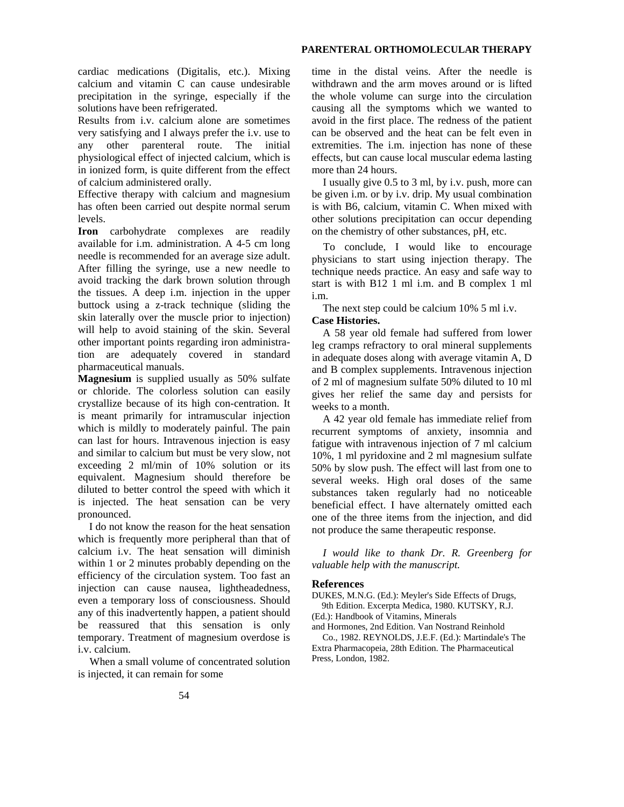#### **PARENTERAL ORTHOMOLECULAR THERAPY**

cardiac medications (Digitalis, etc.). Mixing calcium and vitamin C can cause undesirable precipitation in the syringe, especially if the solutions have been refrigerated.

Results from i.v. calcium alone are sometimes very satisfying and I always prefer the i.v. use to any other parenteral route. The initial physiological effect of injected calcium, which is in ionized form, is quite different from the effect of calcium administered orally.

Effective therapy with calcium and magnesium has often been carried out despite normal serum levels.

**Iron** carbohydrate complexes are readily available for i.m. administration. A 4-5 cm long needle is recommended for an average size adult. After filling the syringe, use a new needle to avoid tracking the dark brown solution through the tissues. A deep i.m. injection in the upper buttock using a z-track technique (sliding the skin laterally over the muscle prior to injection) will help to avoid staining of the skin. Several other important points regarding iron administration are adequately covered in standard pharmaceutical manuals.

**Magnesium** is supplied usually as 50% sulfate or chloride. The colorless solution can easily crystallize because of its high con-centration. It is meant primarily for intramuscular injection which is mildly to moderately painful. The pain can last for hours. Intravenous injection is easy and similar to calcium but must be very slow, not exceeding 2 ml/min of 10% solution or its equivalent. Magnesium should therefore be diluted to better control the speed with which it is injected. The heat sensation can be very pronounced.

I do not know the reason for the heat sensation which is frequently more peripheral than that of calcium i.v. The heat sensation will diminish within 1 or 2 minutes probably depending on the efficiency of the circulation system. Too fast an injection can cause nausea, lightheadedness, even a temporary loss of consciousness. Should any of this inadvertently happen, a patient should be reassured that this sensation is only temporary. Treatment of magnesium overdose is i.v. calcium.

When a small volume of concentrated solution is injected, it can remain for some

time in the distal veins. After the needle is withdrawn and the arm moves around or is lifted the whole volume can surge into the circulation causing all the symptoms which we wanted to avoid in the first place. The redness of the patient can be observed and the heat can be felt even in extremities. The i.m. injection has none of these effects, but can cause local muscular edema lasting more than 24 hours.

I usually give 0.5 to 3 ml, by i.v. push, more can be given i.m. or by i.v. drip. My usual combination is with B6, calcium, vitamin C. When mixed with other solutions precipitation can occur depending on the chemistry of other substances, pH, etc.

To conclude, I would like to encourage physicians to start using injection therapy. The technique needs practice. An easy and safe way to start is with B12 1 ml i.m. and B complex 1 ml i.m.

The next step could be calcium 10% 5 ml i.v. **Case Histories.**

A 58 year old female had suffered from lower leg cramps refractory to oral mineral supplements in adequate doses along with average vitamin A, D and B complex supplements. Intravenous injection of 2 ml of magnesium sulfate 50% diluted to 10 ml gives her relief the same day and persists for weeks to a month.

A 42 year old female has immediate relief from recurrent symptoms of anxiety, insomnia and fatigue with intravenous injection of 7 ml calcium 10%, 1 ml pyridoxine and 2 ml magnesium sulfate 50% by slow push. The effect will last from one to several weeks. High oral doses of the same substances taken regularly had no noticeable beneficial effect. I have alternately omitted each one of the three items from the injection, and did not produce the same therapeutic response.

*I would like to thank Dr. R. Greenberg for valuable help with the manuscript.*

#### **References**

DUKES, M.N.G. (Ed.): Meyler's Side Effects of Drugs, 9th Edition. Excerpta Medica, 1980. KUTSKY, R.J.

(Ed.): Handbook of Vitamins, Minerals and Hormones, 2nd Edition. Van Nostrand Reinhold

Co., 1982. REYNOLDS, J.E.F. (Ed.): Martindale's The Extra Pharmacopeia, 28th Edition. The Pharmaceutical Press, London, 1982.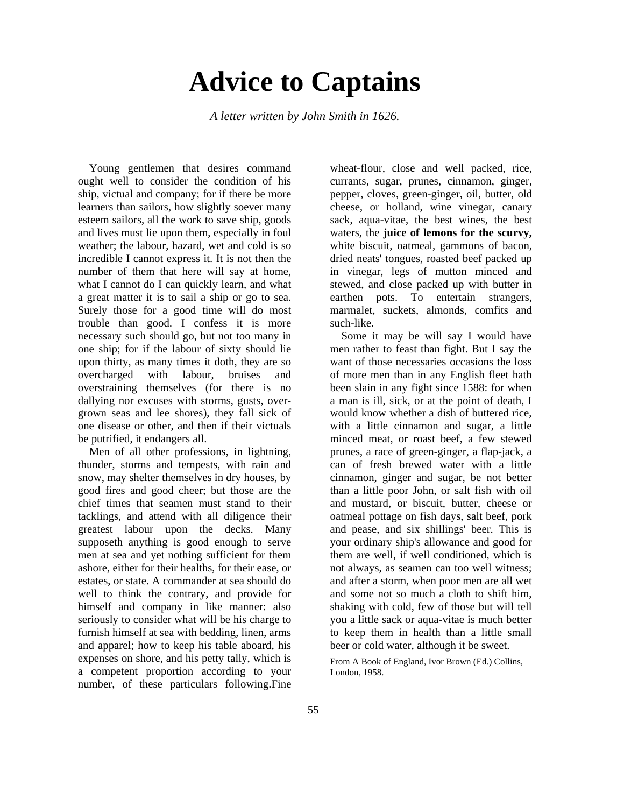## **Advice to Captains**

*A letter written by John Smith in 1626.*

Young gentlemen that desires command ought well to consider the condition of his ship, victual and company; for if there be more learners than sailors, how slightly soever many esteem sailors, all the work to save ship, goods and lives must lie upon them, especially in foul weather; the labour, hazard, wet and cold is so incredible I cannot express it. It is not then the number of them that here will say at home, what I cannot do I can quickly learn, and what a great matter it is to sail a ship or go to sea. Surely those for a good time will do most trouble than good. I confess it is more necessary such should go, but not too many in one ship; for if the labour of sixty should lie upon thirty, as many times it doth, they are so overcharged with labour, bruises and overstraining themselves (for there is no dallying nor excuses with storms, gusts, overgrown seas and lee shores), they fall sick of one disease or other, and then if their victuals be putrified, it endangers all.

Men of all other professions, in lightning, thunder, storms and tempests, with rain and snow, may shelter themselves in dry houses, by good fires and good cheer; but those are the chief times that seamen must stand to their tacklings, and attend with all diligence their greatest labour upon the decks. Many supposeth anything is good enough to serve men at sea and yet nothing sufficient for them ashore, either for their healths, for their ease, or estates, or state. A commander at sea should do well to think the contrary, and provide for himself and company in like manner: also seriously to consider what will be his charge to furnish himself at sea with bedding, linen, arms and apparel; how to keep his table aboard, his expenses on shore, and his petty tally, which is a competent proportion according to your number, of these particulars following.Fine wheat-flour, close and well packed, rice, currants, sugar, prunes, cinnamon, ginger, pepper, cloves, green-ginger, oil, butter, old cheese, or holland, wine vinegar, canary sack, aqua-vitae, the best wines, the best waters, the **juice of lemons for the scurvy,**  white biscuit, oatmeal, gammons of bacon, dried neats' tongues, roasted beef packed up in vinegar, legs of mutton minced and stewed, and close packed up with butter in earthen pots. To entertain strangers, marmalet, suckets, almonds, comfits and such-like.

Some it may be will say I would have men rather to feast than fight. But I say the want of those necessaries occasions the loss of more men than in any English fleet hath been slain in any fight since 1588: for when a man is ill, sick, or at the point of death, I would know whether a dish of buttered rice, with a little cinnamon and sugar, a little minced meat, or roast beef, a few stewed prunes, a race of green-ginger, a flap-jack, a can of fresh brewed water with a little cinnamon, ginger and sugar, be not better than a little poor John, or salt fish with oil and mustard, or biscuit, butter, cheese or oatmeal pottage on fish days, salt beef, pork and pease, and six shillings' beer. This is your ordinary ship's allowance and good for them are well, if well conditioned, which is not always, as seamen can too well witness; and after a storm, when poor men are all wet and some not so much a cloth to shift him, shaking with cold, few of those but will tell you a little sack or aqua-vitae is much better to keep them in health than a little small beer or cold water, although it be sweet.

From A Book of England, Ivor Brown (Ed.) Collins, London, 1958.